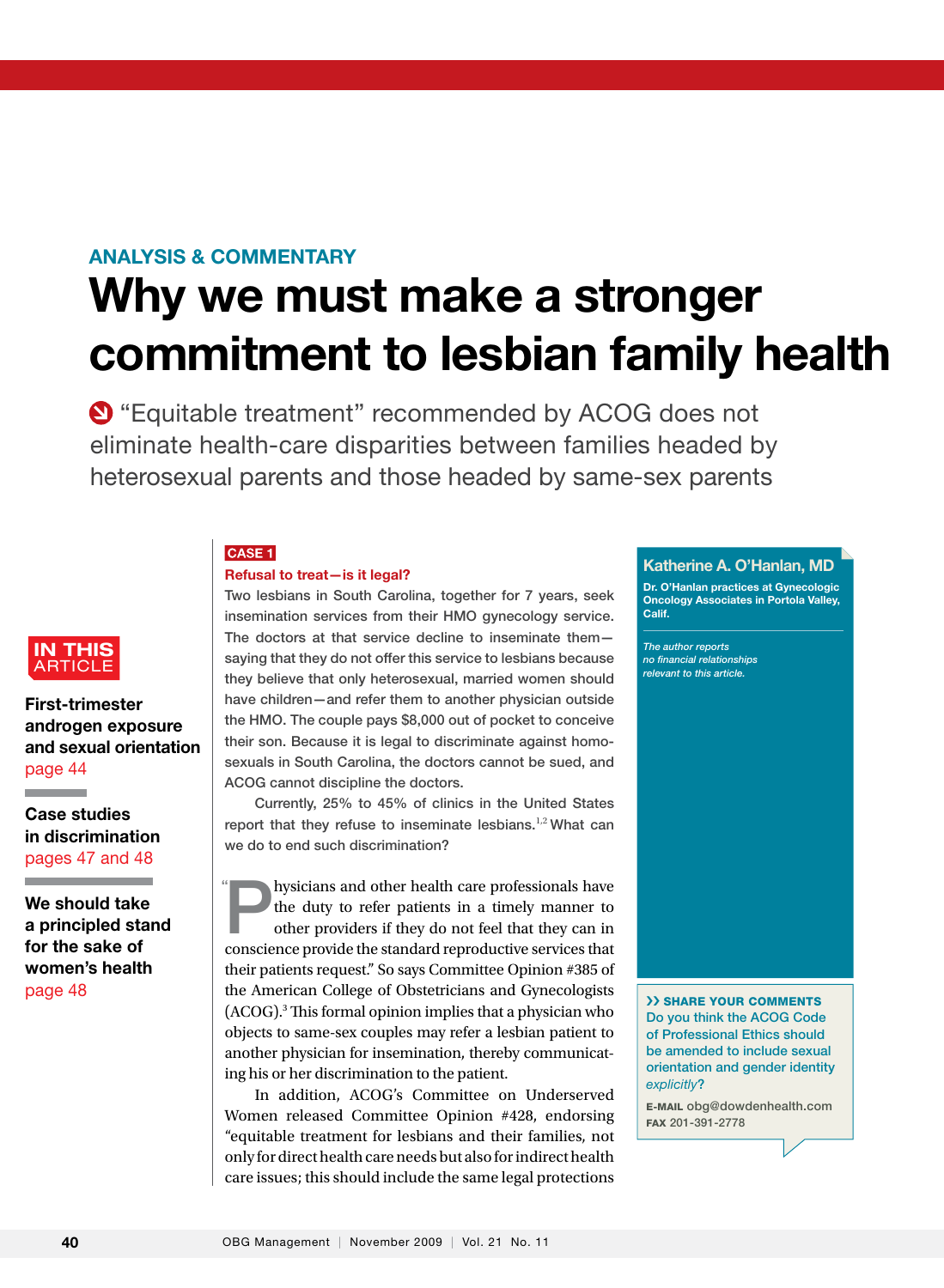## ANALYSIS & COMMENTARY

# Why we must make a stronger commitment to lesbian family health

**O** "Equitable treatment" recommended by ACOG does not eliminate health-care disparities between families headed by heterosexual parents and those headed by same-sex parents

#### **CASE 1**

#### Refusal to treat—is it legal?

Two lesbians in South Carolina, together for 7 years, seek insemination services from their HMO gynecology service. The doctors at that service decline to inseminate them saying that they do not offer this service to lesbians because they believe that only heterosexual, married women should have children—and refer them to another physician outside the HMO. The couple pays \$8,000 out of pocket to conceive their son. Because it is legal to discriminate against homosexuals in South Carolina, the doctors cannot be sued, and ACOG cannot discipline the doctors.

Currently, 25% to 45% of clinics in the United States report that they refuse to inseminate lesbians.<sup>1,2</sup> What can we do to end such discrimination?

hysicians and other health care professionals have<br>the duty to refer patients in a timely manner to<br>other providers if they do not feel that they can in the duty to refer patients in a timely manner to other providers if they do not feel that they can in conscience provide the standard reproductive services that their patients request." So says Committee Opinion #385 of the American College of Obstetricians and Gynecologists (ACOG).3 This formal opinion implies that a physician who objects to same-sex couples may refer a lesbian patient to another physician for insemination, thereby communicating his or her discrimination to the patient. "

In addition, ACOG's Committee on Underserved Women released Committee Opinion #428, endorsing "equitable treatment for lesbians and their families, not only for direct health care needs but also for indirect health care issues; this should include the same legal protections

## Katherine A. O'Hanlan, MD

Dr. O'Hanlan practices at Gynecologic Oncology Associates in Portola Valley, Calif.

article in the control of the control of the control of the control of the control of the control of the control of the control of the control of the control of the control of the control of the control of the control of t *The author reports no financial relationships relevant to this article.*

›› Share your comments Do you think the ACOG Code of Professional Ethics should be amended to include sexual orientation and gender identity *explicitly*?

E-mail obg@dowdenhealth.com Fax 201-391-2778



First-trimester androgen exposure and sexual orientation page 44

Case studies in discrimination pages 47 and 48

the control of the control of the control of the control of the control of the control of

- -

We should take a principled stand for the sake of women's health page 48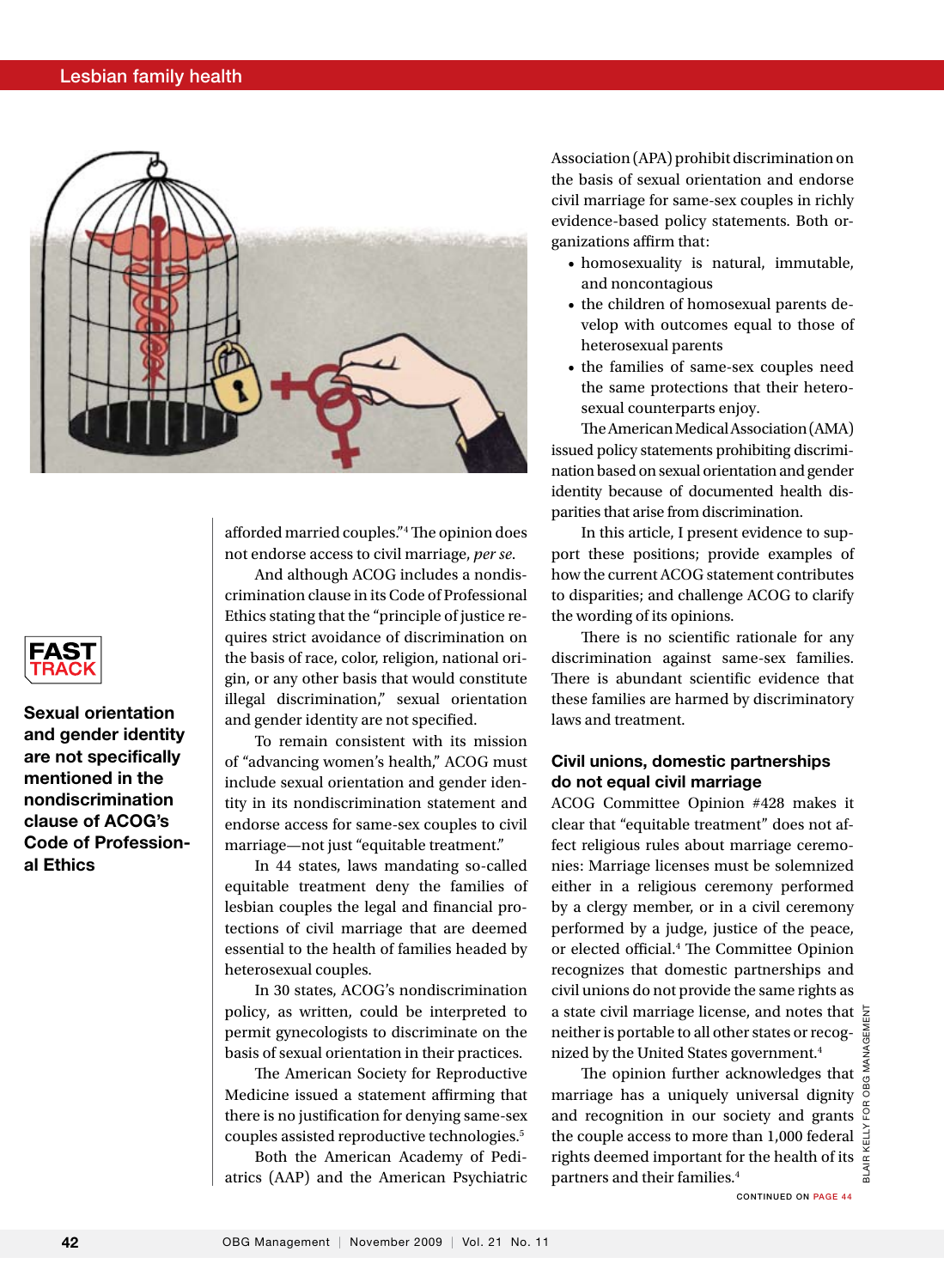

afforded married couples."4 The opinion does not endorse access to civil marriage, *per se*.

And although ACOG includes a nondiscrimination clause in its Code of Professional Ethics stating that the "principle of justice requires strict avoidance of discrimination on the basis of race, color, religion, national origin, or any other basis that would constitute illegal discrimination," sexual orientation and gender identity are not specified.

To remain consistent with its mission of "advancing women's health," ACOG must include sexual orientation and gender identity in its nondiscrimination statement and endorse access for same-sex couples to civil marriage—not just "equitable treatment."

In 44 states, laws mandating so-called equitable treatment deny the families of lesbian couples the legal and financial protections of civil marriage that are deemed essential to the health of families headed by heterosexual couples.

In 30 states, ACOG's nondiscrimination policy, as written, could be interpreted to permit gynecologists to discriminate on the basis of sexual orientation in their practices.

The American Society for Reproductive Medicine issued a statement affirming that there is no justification for denying same-sex couples assisted reproductive technologies.5

Both the American Academy of Pediatrics (AAP) and the American Psychiatric Association (APA) prohibit discrimination on the basis of sexual orientation and endorse civil marriage for same-sex couples in richly evidence-based policy statements. Both organizations affirm that:

- homosexuality is natural, immutable, and noncontagious
- the children of homosexual parents develop with outcomes equal to those of heterosexual parents
- the families of same-sex couples need the same protections that their heterosexual counterparts enjoy.

The American Medical Association (AMA) issued policy statements prohibiting discrimination based on sexual orientation and gender identity because of documented health disparities that arise from discrimination.

In this article, I present evidence to support these positions; provide examples of how the current ACOG statement contributes to disparities; and challenge ACOG to clarify the wording of its opinions.

There is no scientific rationale for any discrimination against same-sex families. There is abundant scientific evidence that these families are harmed by discriminatory laws and treatment.

#### Civil unions, domestic partnerships do not equal civil marriage

ACOG Committee Opinion #428 makes it clear that "equitable treatment" does not affect religious rules about marriage ceremonies: Marriage licenses must be solemnized either in a religious ceremony performed by a clergy member, or in a civil ceremony performed by a judge, justice of the peace, or elected official.4 The Committee Opinion recognizes that domestic partnerships and civil unions do not provide the same rights as a state civil marriage license, and notes that neither is portable to all other states or recognized by the United States government.<sup>4</sup>

The opinion further acknowledges that marriage has a uniquely universal dignity and recognition in our society and grants the couple access to more than 1,000 federal  $\frac{5}{4}$ rights deemed important for the health of its  $\frac{d}{d}$ partners and their families.4

Blair Kelly for obg Management

ŏ



Sexual orientation and gender identity are not specifically mentioned in the nondiscrimination clause of ACOG's Code of Professional Ethics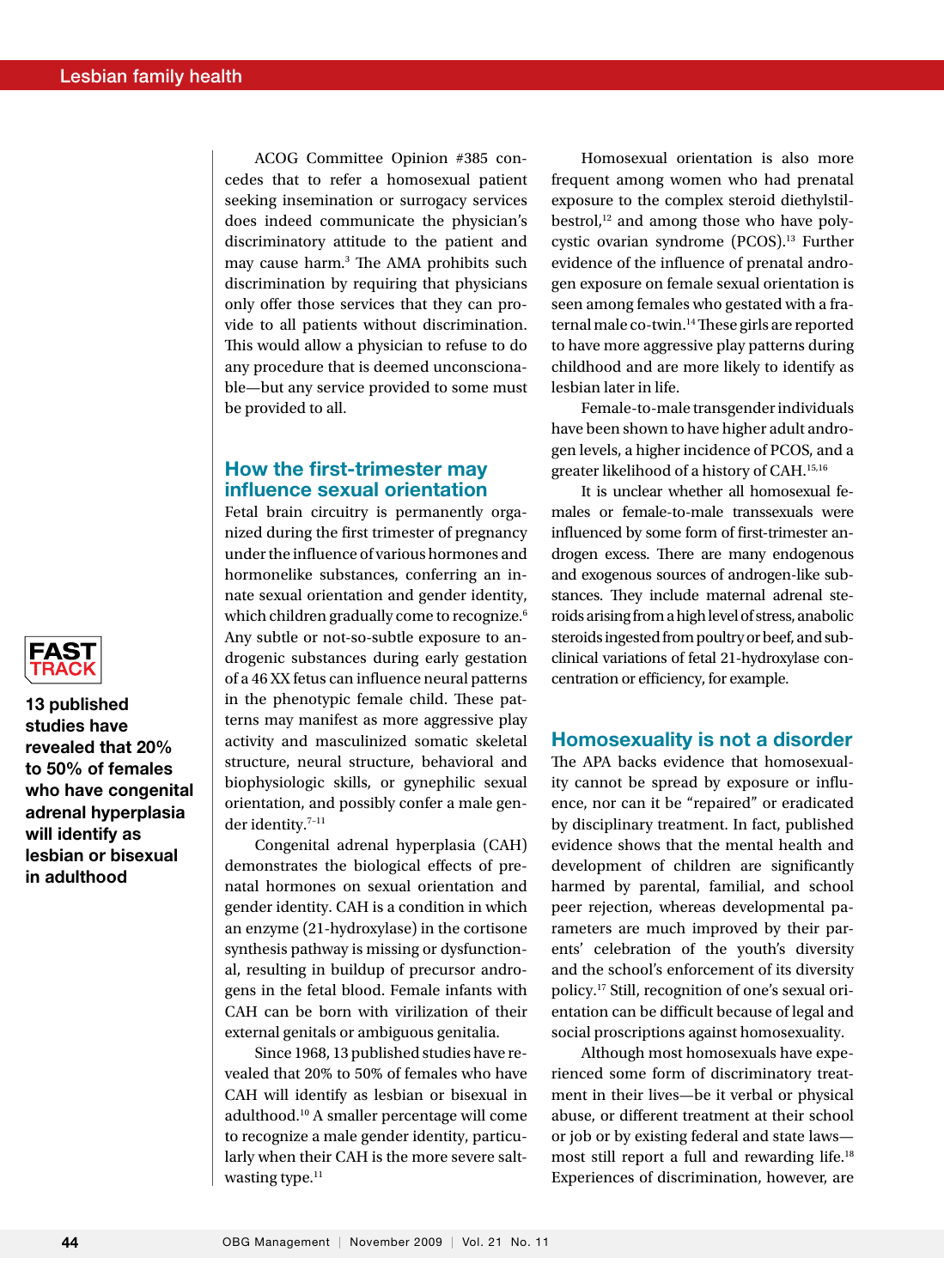ACOG Committee Opinion #385 concedes that to refer a homosexual patient seeking insemination or surrogacy services does indeed communicate the physician's discriminatory attitude to the patient and may cause harm.3 The AMA prohibits such discrimination by requiring that physicians only offer those services that they can provide to all patients without discrimination. This would allow a physician to refuse to do any procedure that is deemed unconscionable—but any service provided to some must be provided to all.

#### How the first-trimester may influence sexual orientation

Fetal brain circuitry is permanently organized during the first trimester of pregnancy under the influence of various hormones and hormonelike substances, conferring an innate sexual orientation and gender identity, which children gradually come to recognize.<sup>6</sup> Any subtle or not-so-subtle exposure to androgenic substances during early gestation of a 46 XX fetus can influence neural patterns in the phenotypic female child. These patterns may manifest as more aggressive play activity and masculinized somatic skeletal structure, neural structure, behavioral and biophysiologic skills, or gynephilic sexual orientation, and possibly confer a male gender identity.7–11

Congenital adrenal hyperplasia (CAH) demonstrates the biological effects of prenatal hormones on sexual orientation and gender identity. CAH is a condition in which an enzyme (21-hydroxylase) in the cortisone synthesis pathway is missing or dysfunctional, resulting in buildup of precursor androgens in the fetal blood. Female infants with CAH can be born with virilization of their external genitals or ambiguous genitalia.

Since 1968, 13 published studies have revealed that 20% to 50% of females who have CAH will identify as lesbian or bisexual in adulthood.10 A smaller percentage will come to recognize a male gender identity, particularly when their CAH is the more severe saltwasting type.<sup>11</sup>

Homosexual orientation is also more frequent among women who had prenatal exposure to the complex steroid diethylstilbestrol, $12$  and among those who have polycystic ovarian syndrome (PCOS).<sup>13</sup> Further evidence of the influence of prenatal androgen exposure on female sexual orientation is seen among females who gestated with a fraternal male co-twin.14 These girls are reported to have more aggressive play patterns during childhood and are more likely to identify as lesbian later in life.

Female-to-male transgender individuals have been shown to have higher adult androgen levels, a higher incidence of PCOS, and a greater likelihood of a history of CAH.15,16

It is unclear whether all homosexual females or female-to-male transsexuals were influenced by some form of first-trimester androgen excess. There are many endogenous and exogenous sources of androgen-like substances. They include maternal adrenal steroids arising from a high level of stress, anabolic steroids ingested from poultry or beef, and subclinical variations of fetal 21-hydroxylase concentration or efficiency, for example.

#### Homosexuality is not a disorder

The APA backs evidence that homosexuality cannot be spread by exposure or influence, nor can it be "repaired" or eradicated by disciplinary treatment. In fact, published evidence shows that the mental health and development of children are significantly harmed by parental, familial, and school peer rejection, whereas developmental parameters are much improved by their parents' celebration of the youth's diversity and the school's enforcement of its diversity policy.17 Still, recognition of one's sexual orientation can be difficult because of legal and social proscriptions against homosexuality.

Although most homosexuals have experienced some form of discriminatory treatment in their lives—be it verbal or physical abuse, or different treatment at their school or job or by existing federal and state laws most still report a full and rewarding life.18 Experiences of discrimination, however, are



13 published studies have revealed that 20% to 50% of females who have congenital adrenal hyperplasia will identify as lesbian or bisexual in adulthood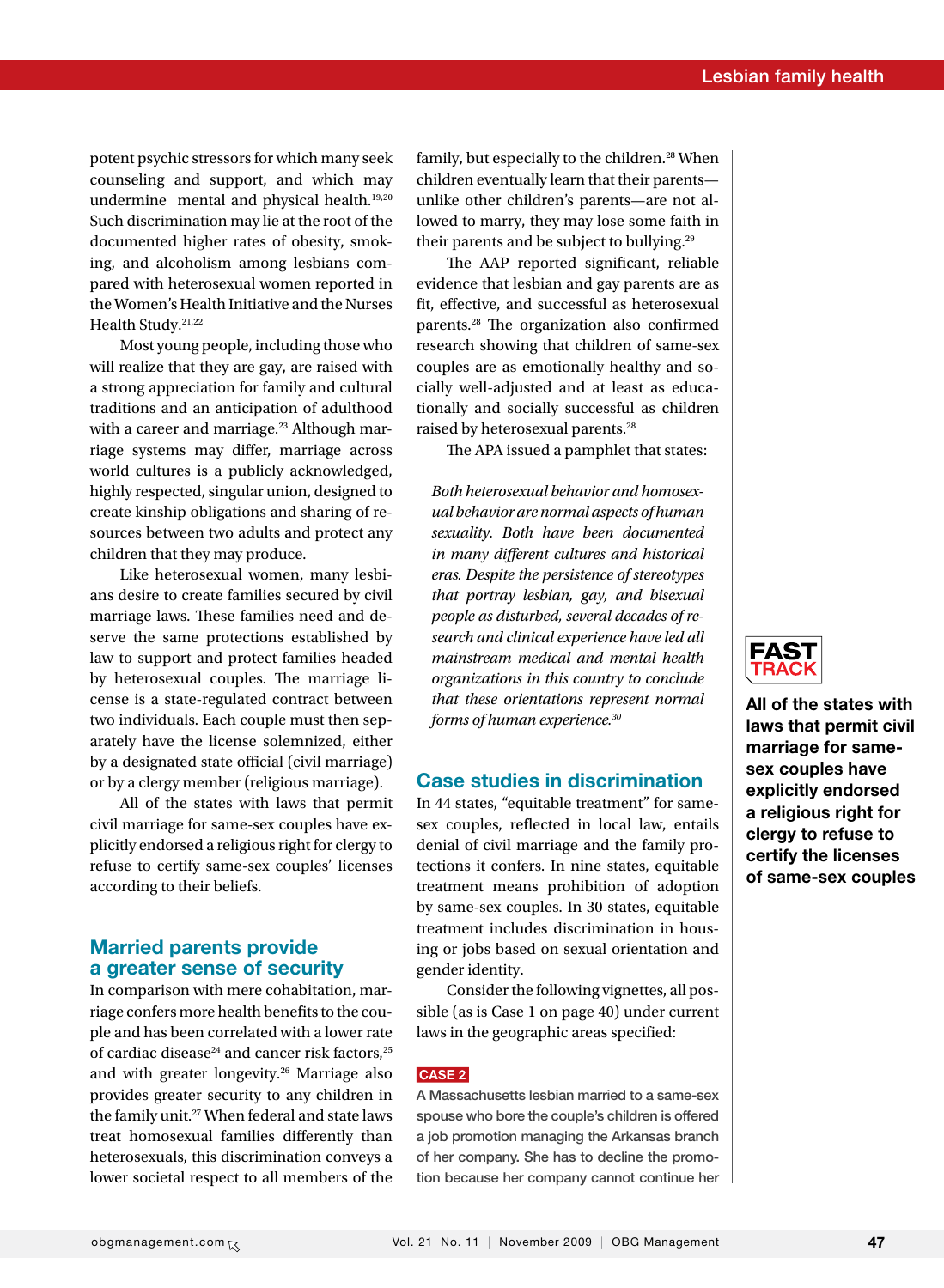potent psychic stressors for which many seek counseling and support, and which may undermine mental and physical health.<sup>19,20</sup> Such discrimination may lie at the root of the documented higher rates of obesity, smoking, and alcoholism among lesbians compared with heterosexual women reported in the Women's Health Initiative and the Nurses Health Study.<sup>21,22</sup>

Most young people, including those who will realize that they are gay, are raised with a strong appreciation for family and cultural traditions and an anticipation of adulthood with a career and marriage.<sup>23</sup> Although marriage systems may differ, marriage across world cultures is a publicly acknowledged, highly respected, singular union, designed to create kinship obligations and sharing of resources between two adults and protect any children that they may produce.

Like heterosexual women, many lesbians desire to create families secured by civil marriage laws. These families need and deserve the same protections established by law to support and protect families headed by heterosexual couples. The marriage license is a state-regulated contract between two individuals. Each couple must then separately have the license solemnized, either by a designated state official (civil marriage) or by a clergy member (religious marriage).

All of the states with laws that permit civil marriage for same-sex couples have explicitly endorsed a religious right for clergy to refuse to certify same-sex couples' licenses according to their beliefs.

#### Married parents provide a greater sense of security

In comparison with mere cohabitation, marriage confers more health benefits to the couple and has been correlated with a lower rate of cardiac disease<sup>24</sup> and cancer risk factors,<sup>25</sup> and with greater longevity.26 Marriage also provides greater security to any children in the family unit.<sup>27</sup> When federal and state laws treat homosexual families differently than heterosexuals, this discrimination conveys a lower societal respect to all members of the family, but especially to the children.<sup>28</sup> When children eventually learn that their parents unlike other children's parents—are not allowed to marry, they may lose some faith in their parents and be subject to bullying.29

The AAP reported significant, reliable evidence that lesbian and gay parents are as fit, effective, and successful as heterosexual parents.28 The organization also confirmed research showing that children of same-sex couples are as emotionally healthy and socially well-adjusted and at least as educationally and socially successful as children raised by heterosexual parents.28

The APA issued a pamphlet that states:

*Both heterosexual behavior and homosexual behavior are normal aspects of human sexuality. Both have been documented in many different cultures and historical eras. Despite the persistence of stereotypes that portray lesbian, gay, and bisexual people as disturbed, several decades of research and clinical experience have led all mainstream medical and mental health organizations in this country to conclude that these orientations represent normal forms of human experience.30*

## Case studies in discrimination

In 44 states, "equitable treatment" for samesex couples, reflected in local law, entails denial of civil marriage and the family protections it confers. In nine states, equitable treatment means prohibition of adoption by same-sex couples. In 30 states, equitable treatment includes discrimination in housing or jobs based on sexual orientation and gender identity.

Consider the following vignettes, all possible (as is Case 1 on page 40) under current laws in the geographic areas specified:

#### CASE<sub>2</sub>

A Massachusetts lesbian married to a same-sex spouse who bore the couple's children is offered a job promotion managing the Arkansas branch of her company. She has to decline the promotion because her company cannot continue her



All of the states with laws that permit civil marriage for samesex couples have explicitly endorsed a religious right for clergy to refuse to certify the licenses of same-sex couples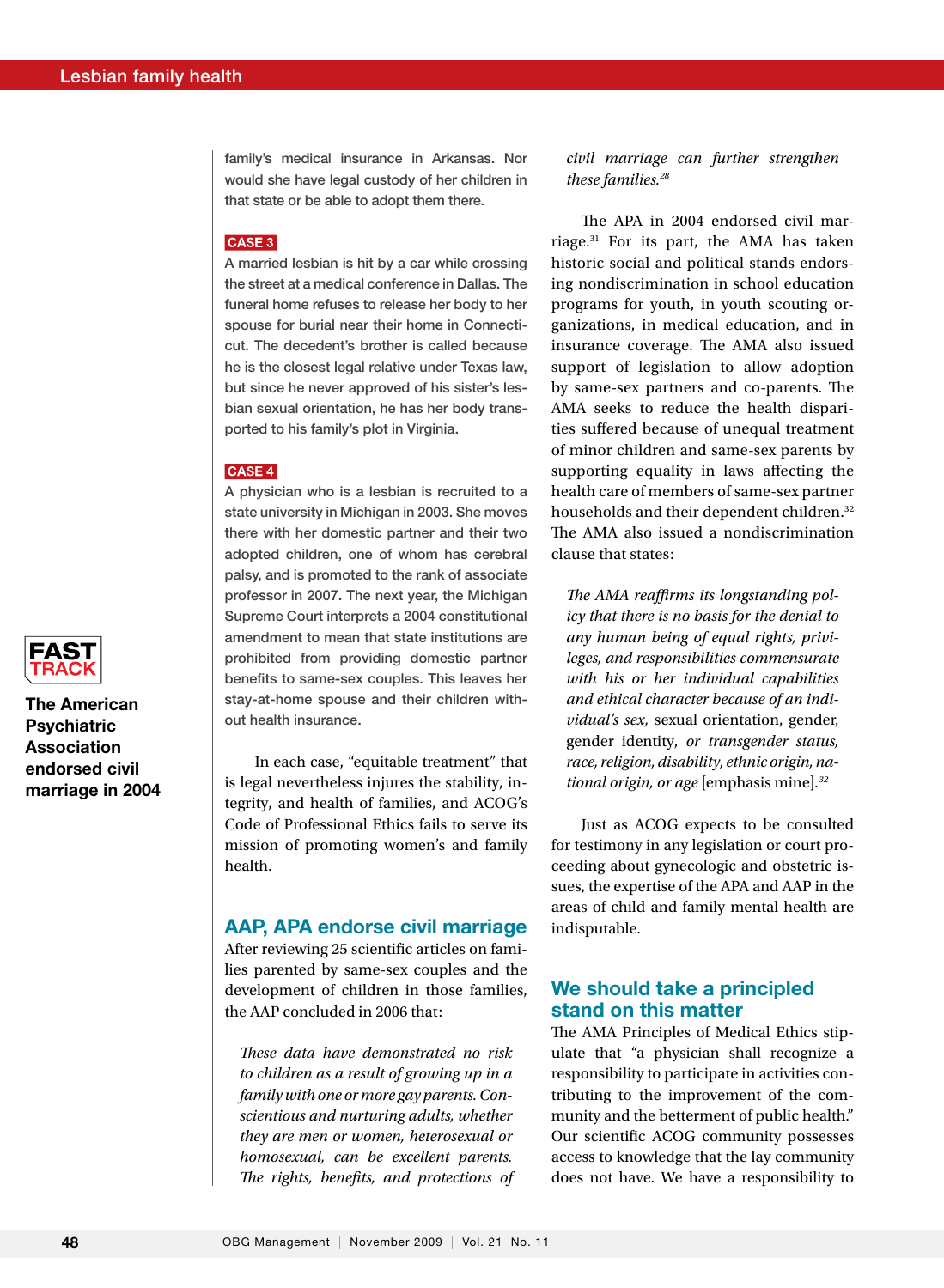family's medical insurance in Arkansas. Nor would she have legal custody of her children in that state or be able to adopt them there.

#### CASE 3

A married lesbian is hit by a car while crossing the street at a medical conference in Dallas. The funeral home refuses to release her body to her spouse for burial near their home in Connecticut. The decedent's brother is called because he is the closest legal relative under Texas law, but since he never approved of his sister's lesbian sexual orientation, he has her body transported to his family's plot in Virginia.

#### CASE 4

A physician who is a lesbian is recruited to a state university in Michigan in 2003. She moves there with her domestic partner and their two adopted children, one of whom has cerebral palsy, and is promoted to the rank of associate professor in 2007. The next year, the Michigan Supreme Court interprets a 2004 constitutional amendment to mean that state institutions are prohibited from providing domestic partner benefits to same-sex couples. This leaves her stay-at-home spouse and their children without health insurance.

In each case, "equitable treatment" that is legal nevertheless injures the stability, integrity, and health of families, and ACOG's Code of Professional Ethics fails to serve its mission of promoting women's and family health.

#### AAP, APA endorse civil marriage

After reviewing 25 scientific articles on families parented by same-sex couples and the development of children in those families, the AAP concluded in 2006 that:

*These data have demonstrated no risk to children as a result of growing up in a family with one or more gay parents. Conscientious and nurturing adults, whether they are men or women, heterosexual or homosexual, can be excellent parents. The rights, benefits, and protections of*  *civil marriage can further strengthen these families.28*

The APA in 2004 endorsed civil marriage.31 For its part, the AMA has taken historic social and political stands endorsing nondiscrimination in school education programs for youth, in youth scouting organizations, in medical education, and in insurance coverage. The AMA also issued support of legislation to allow adoption by same-sex partners and co-parents. The AMA seeks to reduce the health disparities suffered because of unequal treatment of minor children and same-sex parents by supporting equality in laws affecting the health care of members of same-sex partner households and their dependent children.<sup>32</sup> The AMA also issued a nondiscrimination clause that states:

*The AMA reaffirms its longstanding policy that there is no basis for the denial to any human being of equal rights, privileges, and responsibilities commensurate with his or her individual capabilities and ethical character because of an individual's sex,* sexual orientation, gender, gender identity, *or transgender status, race, religion, disability, ethnic origin, national origin, or age* [emphasis mine]*. 32*

Just as ACOG expects to be consulted for testimony in any legislation or court proceeding about gynecologic and obstetric issues, the expertise of the APA and AAP in the areas of child and family mental health are indisputable.

## We should take a principled stand on this matter

The AMA Principles of Medical Ethics stipulate that "a physician shall recognize a responsibility to participate in activities contributing to the improvement of the community and the betterment of public health." Our scientific ACOG community possesses access to knowledge that the lay community does not have. We have a responsibility to



The American **Psychiatric** Association endorsed civil marriage in 2004